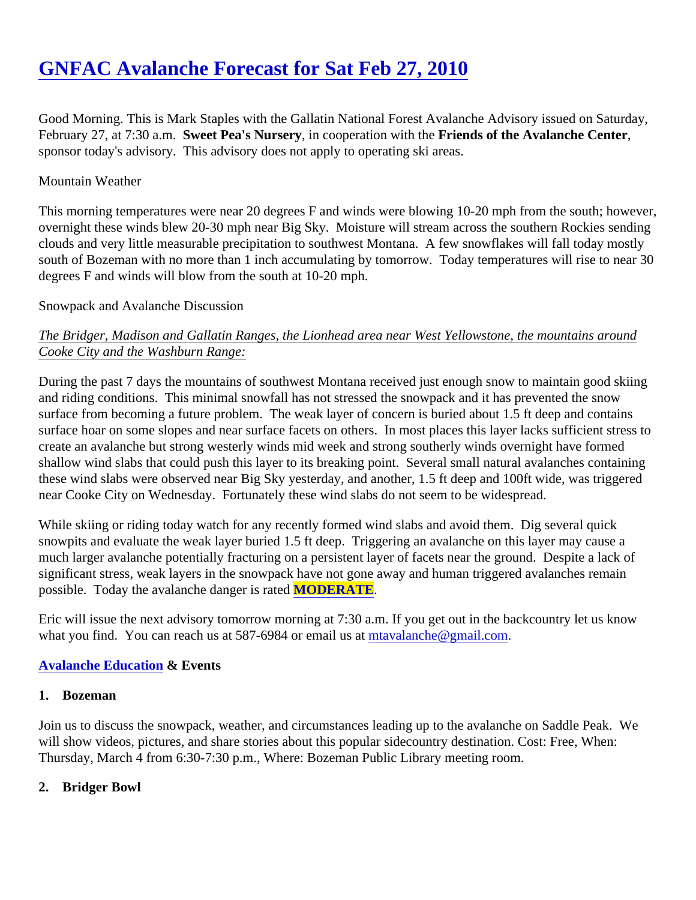# [GNFAC Avalanche Forecast for Sat Feb 27, 201](https://www.mtavalanche.com/forecast/10/02/27)0

Good Morning. This is Mark Staples with the Gallatin National Forest Avalanche Advisory issued on Saturday, February 27, at 7:30 a.n Sweet Pea's Nurseryin cooperation with the Friends of the Avalanche Center sponsor today's advisory. This advisory does not apply to operating ski areas.

## Mountain Weather

This morning temperatures were near 20 degrees F and winds were blowing 10-20 mph from the south; howe overnight these winds blew 20-30 mph near Big Sky. Moisture will stream across the southern Rockies sendi clouds and very little measurable precipitation to southwest Montana. A few snowflakes will fall today mostly south of Bozeman with no more than 1 inch accumulating by tomorrow. Today temperatures will rise to near degrees F and winds will blow from the south at 10-20 mph.

### Snowpack and Avalanche Discussion

The Bridger, Madison and Gallatin Ranges, the Lionhead area near West Yellowstone, the mountains around Cooke City and the Washburn Range:

During the past 7 days the mountains of southwest Montana received just enough snow to maintain good skii and riding conditions. This minimal snowfall has not stressed the snowpack and it has prevented the snow surface from becoming a future problem. The weak layer of concern is buried about 1.5 ft deep and contains surface hoar on some slopes and near surface facets on others. In most places this layer lacks sufficient stre create an avalanche but strong westerly winds mid week and strong southerly winds overnight have formed shallow wind slabs that could push this layer to its breaking point. Several small natural avalanches containin these wind slabs were observed near Big Sky yesterday, and another, 1.5 ft deep and 100ft wide, was trigger near Cooke City on Wednesday. Fortunately these wind slabs do not seem to be widespread.

While skiing or riding today watch for any recently formed wind slabs and avoid them. Dig several quick snowpits and evaluate the weak layer buried 1.5 ft deep. Triggering an avalanche on this layer may cause a much larger avalanche potentially fracturing on a persistent layer of facets near the ground. Despite a lack of significant stress, weak layers in the snowpack have not gone away and human triggered avalanches remain possible. Today the avalanche danger is rMODERATE.

Eric will issue the next advisory tomorrow morning at 7:30 a.m. If you get out in the backcountry let us know what you find[.](mailto:mtavalanche@gmail.com) You can reach us at 587-6984 or email *ustaatalanche@gmail.com* 

#### [Avalanche Education](http://www.mtavalanche.com/education) & Events

1. Bozeman

Join us to discuss the snowpack, weather, and circumstances leading up to the avalanche on Saddle Peak. Y will show videos, pictures, and share stories about this popular sidecountry destination. Cost: Free, When: Thursday, March 4 from 6:30-7:30 p.m., Where: Bozeman Public Library meeting room.

2. Bridger Bowl